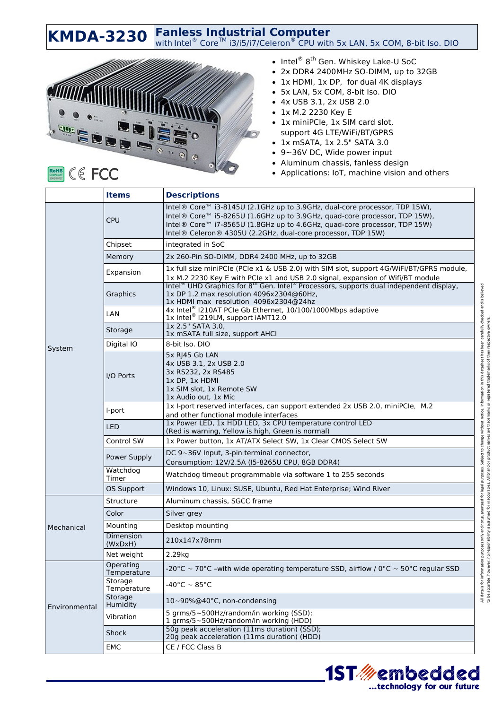**KMDA-3230** Fanless Industrial Computer<br>With Intel® Core<sup>TM</sup> i3/i5/i7/Celeron® CPU with 5x LAN, 5x COM, 8-bit Iso. DIO



## • Intel® 8<sup>th</sup> Gen. Whiskey Lake-U SoC

- 2x DDR4 2400MHz SO-DIMM, up to 32GB
- 1x HDMI, 1x DP, for dual 4K displays
- 5x LAN, 5x COM, 8-bit Iso. DIO
- 4x USB 3.1, 2x USB 2.0
- 1x M.2 2230 Key E
- 1x miniPCIe, 1x SIM card slot, support 4G LTE/WiFi/BT/GPRS
- 1x mSATA, 1x 2.5" SATA 3.0
- 9~36V DC, Wide power input
- Aluminum chassis, fanless design
- Applications: IoT, machine vision and others

|               | <b>Items</b>                | <b>Descriptions</b>                                                                                                                                                                                                                                                                                               |
|---------------|-----------------------------|-------------------------------------------------------------------------------------------------------------------------------------------------------------------------------------------------------------------------------------------------------------------------------------------------------------------|
| System        | <b>CPU</b>                  | Intel® Core™ i3-8145U (2.1GHz up to 3.9GHz, dual-core processor, TDP 15W),<br>Intel® Core™ i5-8265U (1.6GHz up to 3.9GHz, quad-core processor, TDP 15W),<br>Intel® Core <sup>™</sup> i7-8565U (1.8GHz up to 4.6GHz, quad-core processor, TDP 15W)<br>Intel® Celeron® 4305U (2.2GHz, dual-core processor, TDP 15W) |
|               | Chipset                     | integrated in SoC                                                                                                                                                                                                                                                                                                 |
|               | Memory                      | 2x 260-Pin SO-DIMM, DDR4 2400 MHz, up to 32GB                                                                                                                                                                                                                                                                     |
|               | Expansion                   | 1x full size miniPCle (PCle x1 & USB 2.0) with SIM slot, support 4G/WiFi/BT/GPRS module,<br>1x M.2 2230 Key E with PCle x1 and USB 2.0 signal, expansion of Wifi/BT module                                                                                                                                        |
|               | Graphics                    | Intel <sup>®</sup> UHD Graphics for 8 <sup>th</sup> Gen. Intel <sup>®</sup> Processors, supports dual independent display,<br>1x DP 1.2 max resolution 4096x2304@60Hz,<br>1x HDMI max resolution 4096x2304@24hz                                                                                                   |
|               | LAN                         | 4x Intel <sup>®</sup> I210AT PCIe Gb Ethernet, 10/100/1000Mbps adaptive<br>1x Intel <sup>®</sup> I219LM, support iAMT12.0                                                                                                                                                                                         |
|               | Storage                     | 1x 2.5" SATA 3.0,<br>1x mSATA full size, support AHCI                                                                                                                                                                                                                                                             |
|               | Digital IO                  | 8-bit Iso, DIO                                                                                                                                                                                                                                                                                                    |
|               | I/O Ports                   | 5x RJ45 Gb LAN<br>4x USB 3.1, 2x USB 2.0<br>3x RS232, 2x RS485<br>1x DP, 1x HDMI<br>1x SIM slot. 1x Remote SW<br>1x Audio out, 1x Mic                                                                                                                                                                             |
|               | I-port                      | 1x I-port reserved interfaces, can support extended 2x USB 2.0, miniPCIe, M.2<br>and other functional module interfaces                                                                                                                                                                                           |
|               | <b>LED</b>                  | 1x Power LED, 1x HDD LED, 3x CPU temperature control LED<br>(Red is warning, Yellow is high, Green is normal)                                                                                                                                                                                                     |
|               | Control SW                  | 1x Power button, 1x AT/ATX Select SW, 1x Clear CMOS Select SW                                                                                                                                                                                                                                                     |
|               | Power Supply                | DC 9~36V Input, 3-pin terminal connector,<br>Consumption: 12V/2.5A (I5-8265U CPU, 8GB DDR4)                                                                                                                                                                                                                       |
|               | Watchdog<br>Timer           | Watchdog timeout programmable via software 1 to 255 seconds                                                                                                                                                                                                                                                       |
|               | <b>OS Support</b>           | Windows 10, Linux: SUSE, Ubuntu, Red Hat Enterprise; Wind River                                                                                                                                                                                                                                                   |
| Mechanical    | Structure                   | Aluminum chassis, SGCC frame                                                                                                                                                                                                                                                                                      |
|               | Color                       | Silver grey                                                                                                                                                                                                                                                                                                       |
|               | Mounting                    | Desktop mounting                                                                                                                                                                                                                                                                                                  |
|               | <b>Dimension</b><br>(WxDxH) | 210x147x78mm                                                                                                                                                                                                                                                                                                      |
|               | Net weight                  | 2.29kg                                                                                                                                                                                                                                                                                                            |
| Environmental | Operating<br>Temperature    | -20°C ~ 70°C -with wide operating temperature SSD, airflow / 0°C ~ 50°C regular SSD                                                                                                                                                                                                                               |
|               | Storage<br>Temperature      | $-40^{\circ}$ C ~ 85 $^{\circ}$ C                                                                                                                                                                                                                                                                                 |
|               | Storage<br>Humidity         | 10~90%@40°C, non-condensing                                                                                                                                                                                                                                                                                       |
|               | Vibration                   | 5 grms/5~500Hz/random/in working (SSD);<br>1 grms/5~500Hz/random/in working (HDD)                                                                                                                                                                                                                                 |
|               | Shock                       | 50g peak acceleration (11ms duration) (SSD);<br>20g peak acceleration (11ms duration) (HDD)                                                                                                                                                                                                                       |
|               | EMC                         | CE / FCC Class B                                                                                                                                                                                                                                                                                                  |